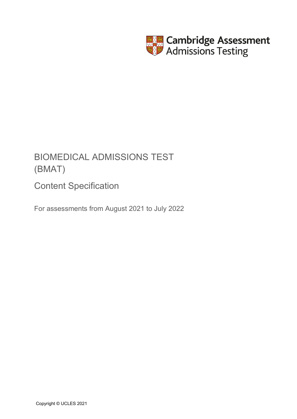

# BIOMEDICAL ADMISSIONS TEST (BMAT)

Content Specification

For assessments from August 2021 to July 2022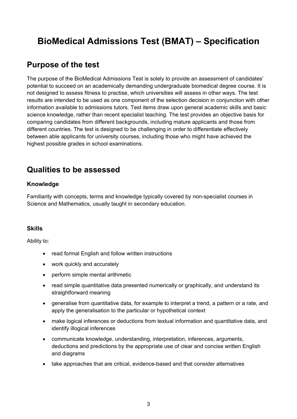# **BioMedical Admissions Test (BMAT) – Specification**

# **Purpose of the test**

The purpose of the BioMedical Admissions Test is solely to provide an assessment of candidates' potential to succeed on an academically demanding undergraduate biomedical degree course. It is not designed to assess fitness to practise, which universities will assess in other ways. The test results are intended to be used as one component of the selection decision in conjunction with other information available to admissions tutors. Test items draw upon general academic skills and basic science knowledge, rather than recent specialist teaching. The test provides an objective basis for comparing candidates from different backgrounds, including mature applicants and those from different countries. The test is designed to be challenging in order to differentiate effectively between able applicants for university courses, including those who might have achieved the highest possible grades in school examinations.

# **Qualities to be assessed**

# **Knowledge**

Familiarity with concepts, terms and knowledge typically covered by non-specialist courses in Science and Mathematics, usually taught in secondary education.

# **Skills**

Ability to:

- read formal English and follow written instructions
- work quickly and accurately
- perform simple mental arithmetic
- read simple quantitative data presented numerically or graphically, and understand its straightforward meaning
- generalise from quantitative data, for example to interpret a trend, a pattern or a rate, and apply the generalisation to the particular or hypothetical context
- make logical inferences or deductions from textual information and quantitative data, and identify illogical inferences
- communicate knowledge, understanding, interpretation, inferences, arguments, deductions and predictions by the appropriate use of clear and concise written English and diagrams
- take approaches that are critical, evidence-based and that consider alternatives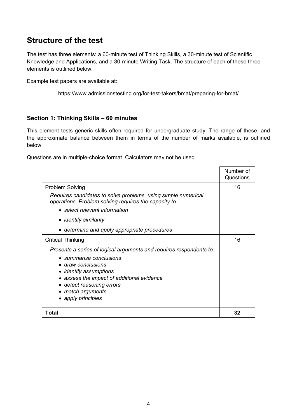# **Structure of the test**

The test has three elements: a 60-minute test of Thinking Skills, a 30-minute test of Scientific Knowledge and Applications, and a 30-minute Writing Task. The structure of each of these three elements is outlined below.

Example test papers are available at:

<https://www.admissionstesting.org/for-test-takers/bmat/preparing-for-bmat/>

## **Section 1: Thinking Skills – 60 minutes**

This element tests generic skills often required for undergraduate study. The range of these, and the approximate balance between them in terms of the number of marks available, is outlined below.

Questions are in multiple-choice format. Calculators may not be used.

|                                                                                                                                                                                                                                                                      | Number of<br>Questions |
|----------------------------------------------------------------------------------------------------------------------------------------------------------------------------------------------------------------------------------------------------------------------|------------------------|
| <b>Problem Solving</b>                                                                                                                                                                                                                                               | 16                     |
| Requires candidates to solve problems, using simple numerical<br>operations. Problem solving requires the capacity to:                                                                                                                                               |                        |
| • select relevant information                                                                                                                                                                                                                                        |                        |
| • identify similarity                                                                                                                                                                                                                                                |                        |
| • determine and apply appropriate procedures                                                                                                                                                                                                                         |                        |
| <b>Critical Thinking</b>                                                                                                                                                                                                                                             | 16                     |
| Presents a series of logical arguments and requires respondents to:<br>• summarise conclusions<br>• draw conclusions<br>• identify assumptions<br>• assess the impact of additional evidence<br>• detect reasoning errors<br>• match arguments<br>• apply principles |                        |
| Total                                                                                                                                                                                                                                                                | 32                     |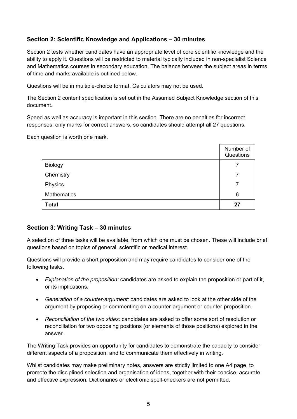# **Section 2: Scientific Knowledge and Applications – 30 minutes**

Section 2 tests whether candidates have an appropriate level of core scientific knowledge and the ability to apply it. Questions will be restricted to material typically included in non-specialist Science and Mathematics courses in secondary education. The balance between the subject areas in terms of time and marks available is outlined below.

Questions will be in multiple-choice format. Calculators may not be used.

The Section 2 content specification is set out in the Assumed Subject Knowledge section of this document.

Speed as well as accuracy is important in this section. There are no penalties for incorrect responses, only marks for correct answers, so candidates should attempt all 27 questions.

Each question is worth one mark.

|                    | Number of<br>Questions |
|--------------------|------------------------|
| Biology            |                        |
| Chemistry          | 7                      |
| Physics            |                        |
| <b>Mathematics</b> | 6                      |
| <b>Total</b>       | 27                     |

## **Section 3: Writing Task – 30 minutes**

A selection of three tasks will be available, from which one must be chosen. These will include brief questions based on topics of general, scientific or medical interest.

Questions will provide a short proposition and may require candidates to consider one of the following tasks.

- *Explanation of the proposition:* candidates are asked to explain the proposition or part of it, or its implications.
- *Generation of a counter-argument:* candidates are asked to look at the other side of the argument by proposing or commenting on a counter-argument or counter-proposition.
- *Reconciliation of the two sides:* candidates are asked to offer some sort of resolution or reconciliation for two opposing positions (or elements of those positions) explored in the answer.

The Writing Task provides an opportunity for candidates to demonstrate the capacity to consider different aspects of a proposition, and to communicate them effectively in writing.

Whilst candidates may make preliminary notes, answers are strictly limited to one A4 page, to promote the disciplined selection and organisation of ideas, together with their concise, accurate and effective expression. Dictionaries or electronic spell-checkers are not permitted.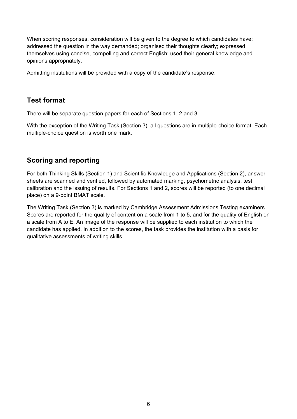When scoring responses, consideration will be given to the degree to which candidates have: addressed the question in the way demanded; organised their thoughts clearly; expressed themselves using concise, compelling and correct English; used their general knowledge and opinions appropriately.

Admitting institutions will be provided with a copy of the candidate's response.

# **Test format**

There will be separate question papers for each of Sections 1, 2 and 3.

With the exception of the Writing Task (Section 3), all questions are in multiple-choice format. Each multiple-choice question is worth one mark.

# **Scoring and reporting**

For both Thinking Skills (Section 1) and Scientific Knowledge and Applications (Section 2), answer sheets are scanned and verified, followed by automated marking, psychometric analysis, test calibration and the issuing of results. For Sections 1 and 2, scores will be reported (to one decimal place) on a 9-point BMAT scale.

The Writing Task (Section 3) is marked by Cambridge Assessment Admissions Testing examiners. Scores are reported for the quality of content on a scale from 1 to 5, and for the quality of English on a scale from A to E. An image of the response will be supplied to each institution to which the candidate has applied. In addition to the scores, the task provides the institution with a basis for qualitative assessments of writing skills.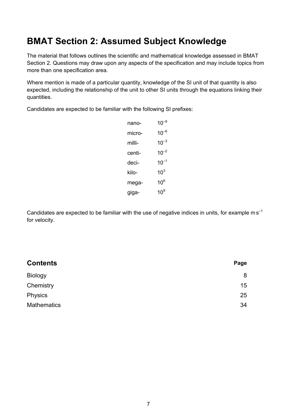# **BMAT Section 2: Assumed Subject Knowledge**

The material that follows outlines the scientific and mathematical knowledge assessed in BMAT Section 2. Questions may draw upon any aspects of the specification and may include topics from more than one specification area.

Where mention is made of a particular quantity, knowledge of the SI unit of that quantity is also expected, including the relationship of the unit to other SI units through the equations linking their quantities.

Candidates are expected to be familiar with the following SI prefixes:

| $10^{-9}$ |
|-----------|
| $10^{-6}$ |
| $10^{-3}$ |
| $10^{-2}$ |
| $10^{-1}$ |
| $10^3$    |
| $10^6$    |
| 10 $^9$   |
|           |

Candidates are expected to be familiar with the use of negative indices in units, for example  $ms^{-1}$ for velocity.

| Page |
|------|
| 8    |
| 15   |
| 25   |
| 34   |
|      |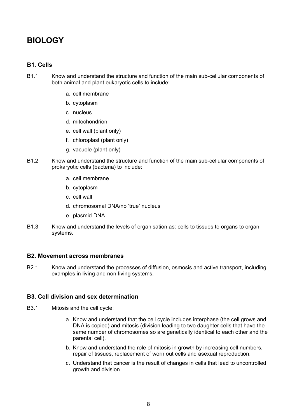# **BIOLOGY**

#### **B1. Cells**

- B1.1 Know and understand the structure and function of the main sub-cellular components of both animal and plant eukaryotic cells to include:
	- a. cell membrane
	- b. cytoplasm
	- c. nucleus
	- d. mitochondrion
	- e. cell wall (plant only)
	- f. chloroplast (plant only)
	- g. vacuole (plant only)
- B1.2 Know and understand the structure and function of the main sub-cellular components of prokaryotic cells (bacteria) to include:
	- a. cell membrane
	- b. cytoplasm
	- c. cell wall
	- d. chromosomal DNA/no 'true' nucleus
	- e. plasmid DNA
- B1.3 Know and understand the levels of organisation as: cells to tissues to organs to organ systems.

#### **B2. Movement across membranes**

B2.1 Know and understand the processes of diffusion, osmosis and active transport, including examples in living and non-living systems.

#### **B3. Cell division and sex determination**

- B3.1 Mitosis and the cell cycle:
	- a. Know and understand that the cell cycle includes interphase (the cell grows and DNA is copied) and mitosis (division leading to two daughter cells that have the same number of chromosomes so are genetically identical to each other and the parental cell).
	- b. Know and understand the role of mitosis in growth by increasing cell numbers, repair of tissues, replacement of worn out cells and asexual reproduction.
	- c. Understand that cancer is the result of changes in cells that lead to uncontrolled growth and division.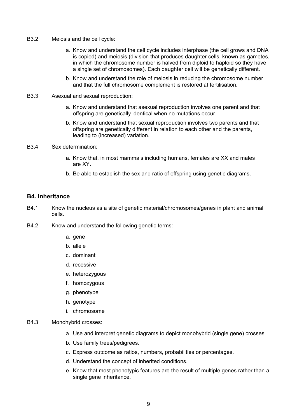- B3.2 Meiosis and the cell cycle:
	- a. Know and understand the cell cycle includes interphase (the cell grows and DNA is copied) and meiosis (division that produces daughter cells, known as gametes, in which the chromosome number is halved from diploid to haploid so they have a single set of chromosomes). Each daughter cell will be genetically different.
	- b. Know and understand the role of meiosis in reducing the chromosome number and that the full chromosome complement is restored at fertilisation.
- B3.3 Asexual and sexual reproduction:
	- a. Know and understand that asexual reproduction involves one parent and that offspring are genetically identical when no mutations occur.
	- b. Know and understand that sexual reproduction involves two parents and that offspring are genetically different in relation to each other and the parents, leading to (increased) variation.
- B3.4 Sex determination:
	- a. Know that, in most mammals including humans, females are XX and males are XY.
	- b. Be able to establish the sex and ratio of offspring using genetic diagrams.

#### **B4. Inheritance**

- B4.1 Know the nucleus as a site of genetic material/chromosomes/genes in plant and animal cells.
- B4.2 Know and understand the following genetic terms:
	- a. gene
	- b. allele
	- c. dominant
	- d. recessive
	- e. heterozygous
	- f. homozygous
	- g. phenotype
	- h. genotype
	- i. chromosome

#### B4.3 Monohybrid crosses:

- a. Use and interpret genetic diagrams to depict monohybrid (single gene) crosses.
- b. Use family trees/pedigrees.
- c. Express outcome as ratios, numbers, probabilities or percentages.
- d. Understand the concept of inherited conditions.
- e. Know that most phenotypic features are the result of multiple genes rather than a single gene inheritance.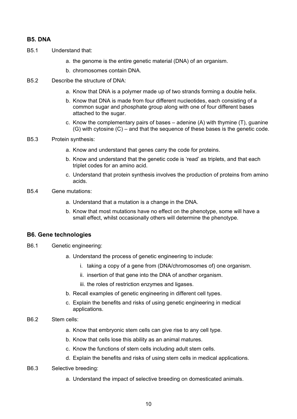#### **B5. DNA**

- B5.1 Understand that:
	- a. the genome is the entire genetic material (DNA) of an organism.
	- b. chromosomes contain DNA.
- B5.2 Describe the structure of DNA:
	- a. Know that DNA is a polymer made up of two strands forming a double helix.
	- b. Know that DNA is made from four different nucleotides, each consisting of a common sugar and phosphate group along with one of four different bases attached to the sugar.
	- c. Know the complementary pairs of bases adenine  $(A)$  with thymine  $(T)$ , guanine (G) with cytosine (C) – and that the sequence of these bases is the genetic code.
- B5.3 Protein synthesis:
	- a. Know and understand that genes carry the code for proteins.
	- b. Know and understand that the genetic code is 'read' as triplets, and that each triplet codes for an amino acid.
	- c. Understand that protein synthesis involves the production of proteins from amino acids.
- B5.4 Gene mutations:
	- a. Understand that a mutation is a change in the DNA.
	- b. Know that most mutations have no effect on the phenotype, some will have a small effect, whilst occasionally others will determine the phenotype.

## **B6. Gene technologies**

- B6.1 Genetic engineering:
	- a. Understand the process of genetic engineering to include:
		- i. taking a copy of a gene from (DNA/chromosomes of) one organism.
		- ii. insertion of that gene into the DNA of another organism.
		- iii. the roles of restriction enzymes and ligases.
	- b. Recall examples of genetic engineering in different cell types.
	- c. Explain the benefits and risks of using genetic engineering in medical applications.
- B6.2 Stem cells:
	- a. Know that embryonic stem cells can give rise to any cell type.
	- b. Know that cells lose this ability as an animal matures.
	- c. Know the functions of stem cells including adult stem cells.
	- d. Explain the benefits and risks of using stem cells in medical applications.
- B6.3 Selective breeding:
	- a. Understand the impact of selective breeding on domesticated animals.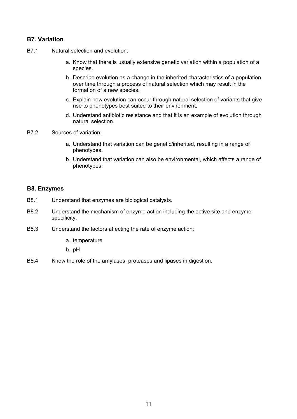# **B7. Variation**

- B7.1 Natural selection and evolution:
	- a. Know that there is usually extensive genetic variation within a population of a species.
	- b. Describe evolution as a change in the inherited characteristics of a population over time through a process of natural selection which may result in the formation of a new species.
	- c. Explain how evolution can occur through natural selection of variants that give rise to phenotypes best suited to their environment.
	- d. Understand antibiotic resistance and that it is an example of evolution through natural selection.
- B7.2 Sources of variation:
	- a. Understand that variation can be genetic/inherited, resulting in a range of phenotypes.
	- b. Understand that variation can also be environmental, which affects a range of phenotypes.

#### **B8. Enzymes**

- B8.1 Understand that enzymes are biological catalysts.
- B8.2 Understand the mechanism of enzyme action including the active site and enzyme specificity.
- B8.3 Understand the factors affecting the rate of enzyme action:
	- a. temperature

b. pH

B8.4 Know the role of the amylases, proteases and lipases in digestion.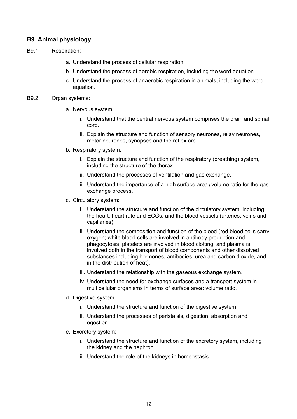# **B9. Animal physiology**

- B9.1 Respiration:
	- a. Understand the process of cellular respiration.
	- b. Understand the process of aerobic respiration, including the word equation.
	- c. Understand the process of anaerobic respiration in animals, including the word equation.

#### B9.2 Organ systems:

- a. Nervous system:
	- i. Understand that the central nervous system comprises the brain and spinal cord.
	- ii. Explain the structure and function of sensory neurones, relay neurones, motor neurones, synapses and the reflex arc.
- b. Respiratory system:
	- i. Explain the structure and function of the respiratory (breathing) system, including the structure of the thorax.
	- ii. Understand the processes of ventilation and gas exchange.
	- iii. Understand the importance of a high surface area **:** volume ratio for the gas exchange process.
- c. Circulatory system:
	- i. Understand the structure and function of the circulatory system, including the heart, heart rate and ECGs, and the blood vessels (arteries, veins and capillaries).
	- ii. Understand the composition and function of the blood (red blood cells carry oxygen; white blood cells are involved in antibody production and phagocytosis; platelets are involved in blood clotting; and plasma is involved both in the transport of blood components and other dissolved substances including hormones, antibodies, urea and carbon dioxide, and in the distribution of heat).
	- iii. Understand the relationship with the gaseous exchange system.
	- iv. Understand the need for exchange surfaces and a transport system in multicellular organisms in terms of surface area**:** volume ratio.
- d. Digestive system:
	- i. Understand the structure and function of the digestive system.
	- ii. Understand the processes of peristalsis, digestion, absorption and egestion.
- e. Excretory system:
	- i. Understand the structure and function of the excretory system, including the kidney and the nephron.
	- ii. Understand the role of the kidneys in homeostasis.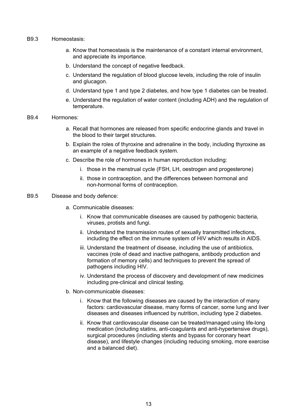- B9.3 Homeostasis:
	- a. Know that homeostasis is the maintenance of a constant internal environment, and appreciate its importance.
	- b. Understand the concept of negative feedback.
	- c. Understand the regulation of blood glucose levels, including the role of insulin and glucagon.
	- d. Understand type 1 and type 2 diabetes, and how type 1 diabetes can be treated.
	- e. Understand the regulation of water content (including ADH) and the regulation of temperature.

#### B9.4 Hormones:

- a. Recall that hormones are released from specific endocrine glands and travel in the blood to their target structures.
- b. Explain the roles of thyroxine and adrenaline in the body, including thyroxine as an example of a negative feedback system.
- c. Describe the role of hormones in human reproduction including:
	- i. those in the menstrual cycle (FSH, LH, oestrogen and progesterone)
	- ii. those in contraception, and the differences between hormonal and non-hormonal forms of contraception.

#### B9.5 Disease and body defence:

- a. Communicable diseases:
	- i. Know that communicable diseases are caused by pathogenic bacteria, viruses, protists and fungi.
	- ii. Understand the transmission routes of sexually transmitted infections, including the effect on the immune system of HIV which results in AIDS.
	- iii. Understand the treatment of disease, including the use of antibiotics, vaccines (role of dead and inactive pathogens, antibody production and formation of memory cells) and techniques to prevent the spread of pathogens including HIV.
	- iv. Understand the process of discovery and development of new medicines including pre-clinical and clinical testing.
- b. Non-communicable diseases:
	- i. Know that the following diseases are caused by the interaction of many factors: cardiovascular disease, many forms of cancer, some lung and liver diseases and diseases influenced by nutrition, including type 2 diabetes.
	- ii. Know that cardiovascular disease can be treated/managed using life-long medication (including statins, anti-coagulants and anti-hypertensive drugs), surgical procedures (including stents and bypass for coronary heart disease), and lifestyle changes (including reducing smoking, more exercise and a balanced diet).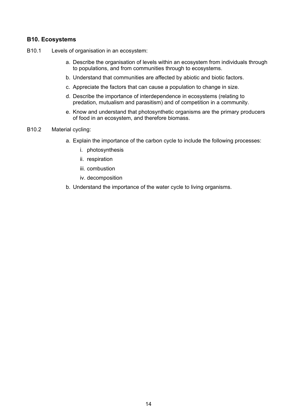## **B10. Ecosystems**

- B10.1 Levels of organisation in an ecosystem:
	- a. Describe the organisation of levels within an ecosystem from individuals through to populations, and from communities through to ecosystems.
	- b. Understand that communities are affected by abiotic and biotic factors.
	- c. Appreciate the factors that can cause a population to change in size.
	- d. Describe the importance of interdependence in ecosystems (relating to predation, mutualism and parasitism) and of competition in a community.
	- e. Know and understand that photosynthetic organisms are the primary producers of food in an ecosystem, and therefore biomass.
- B10.2 Material cycling:
	- a. Explain the importance of the carbon cycle to include the following processes:
		- i. photosynthesis
		- ii. respiration
		- iii. combustion
		- iv. decomposition
	- b. Understand the importance of the water cycle to living organisms.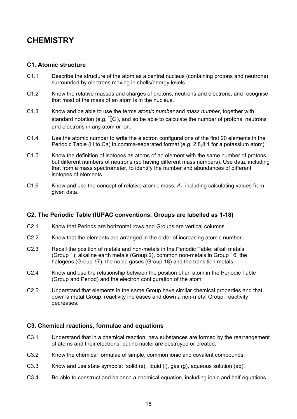# **CHEMISTRY**

#### **C1. Atomic structure**

- C1.1 Describe the structure of the atom as a central nucleus (containing protons and neutrons) surrounded by electrons moving in shells/energy levels.
- C1.2 Know the relative masses and charges of protons, neutrons and electrons, and recognise that most of the mass of an atom is in the nucleus.
- C1.3 Know and be able to use the terms *atomic number* and *mass number*, together with standard notation (e.g.  $^{12}_{6}$ C), and so be able to calculate the number of protons, neutrons and electrons in any atom or ion.
- C1.4 Use the atomic number to write the electron configurations of the first 20 elements in the Periodic Table (H to Ca) in comma-separated format (e.g. 2,8,8,1 for a potassium atom).
- C1.5 Know the definition of isotopes as atoms of an element with the same number of protons but different numbers of neutrons (so having different mass numbers). Use data, including that from a mass spectrometer, to identify the number and abundances of different isotopes of elements.
- C1.6 Know and use the concept of relative atomic mass, *A*r, including calculating values from given data.

## **C2. The Periodic Table (IUPAC conventions, Groups are labelled as 1-18)**

- C2.1 Know that Periods are horizontal rows and Groups are vertical columns.
- C2.2 Know that the elements are arranged in the order of increasing atomic number.
- C2.3 Recall the position of metals and non-metals in the Periodic Table: alkali metals (Group 1), alkaline earth metals (Group 2), common non-metals in Group 16, the halogens (Group 17), the noble gases (Group 18) and the transition metals.
- C2.4 Know and use the relationship between the position of an atom in the Periodic Table (Group and Period) and the electron configuration of the atom.
- C2.5 Understand that elements in the same Group have similar chemical properties and that down a metal Group, reactivity increases and down a non-metal Group, reactivity decreases.

#### **C3. Chemical reactions, formulae and equations**

- C3.1 Understand that in a chemical reaction, new substances are formed by the rearrangement of atoms and their electrons, but no nuclei are destroyed or created.
- C3.2 Know the chemical formulae of simple, common ionic and covalent compounds.
- C3.3 Know and use state symbols: solid (s), liquid (l), gas (g), aqueous solution (aq).
- C3.4 Be able to construct and balance a chemical equation, including ionic and half-equations.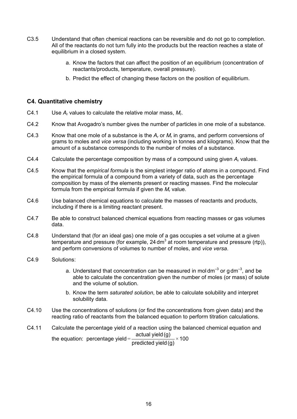- C3.5 Understand that often chemical reactions can be reversible and do not go to completion. All of the reactants do not turn fully into the products but the reaction reaches a state of equilibrium in a closed system.
	- a. Know the factors that can affect the position of an equilibrium (concentration of reactants/products, temperature, overall pressure).
	- b. Predict the effect of changing these factors on the position of equilibrium.

#### **C4. Quantitative chemistry**

- C4.1 Use *A*<sup>r</sup> values to calculate the relative molar mass, *M*r.
- C4.2 Know that Avogadro's number gives the number of particles in one mole of a substance.
- C4.3 Know that one mole of a substance is the *A*r or *M*<sup>r</sup> in grams, and perform conversions of grams to moles and *vice versa* (including working in tonnes and kilograms). Know that the amount of a substance corresponds to the number of moles of a substance.
- C4.4 Calculate the percentage composition by mass of a compound using given *A*<sup>r</sup> values.
- C4.5 Know that the *empirical formula* is the simplest integer ratio of atoms in a compound. Find the empirical formula of a compound from a variety of data, such as the percentage composition by mass of the elements present or reacting masses. Find the molecular formula from the empirical formula if given the *M*<sup>r</sup> value.
- C4.6 Use balanced chemical equations to calculate the masses of reactants and products, including if there is a limiting reactant present.
- C4.7 Be able to construct balanced chemical equations from reacting masses or gas volumes data.
- C4.8 Understand that (for an ideal gas) one mole of a gas occupies a set volume at a given temperature and pressure (for example,  $24 \text{ dm}^3$  at room temperature and pressure (rtp)), and perform conversions of volumes to number of moles, and *vice versa*.
- C4.9 Solutions:
	- a. Understand that concentration can be measured in moldm<sup>-3</sup> or  $\alpha$  dm<sup>-3</sup>, and be able to calculate the concentration given the number of moles (or mass) of solute and the volume of solution.
	- b. Know the term *saturated solution*, be able to calculate solubility and interpret solubility data.
- C4.10 Use the concentrations of solutions (or find the concentrations from given data) and the reacting ratio of reactants from the balanced equation to perform titration calculations.
- C4.11 Calculate the percentage yield of a reaction using the balanced chemical equation and the equation: percentage yield =  $\frac{\text{actual yield (g)}}{\text{actual total}} \times 100$ predicted yield(g)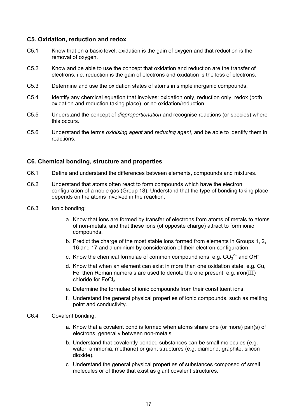#### **C5. Oxidation, reduction and redox**

- C5.1 Know that on a basic level, oxidation is the gain of oxygen and that reduction is the removal of oxygen.
- C5.2 Know and be able to use the concept that oxidation and reduction are the transfer of electrons, i.e. reduction is the gain of electrons and oxidation is the loss of electrons.
- C5.3 Determine and use the oxidation states of atoms in simple inorganic compounds.
- C5.4 Identify any chemical equation that involves: oxidation only, reduction only, redox (both oxidation and reduction taking place), or no oxidation/reduction.
- C5.5 Understand the concept of *disproportionation* and recognise reactions (or species) where this occurs.
- C5.6 Understand the terms *oxidising agent* and *reducing agent*, and be able to identify them in reactions.

#### **C6. Chemical bonding, structure and properties**

- C6.1 Define and understand the differences between elements, compounds and mixtures.
- C6.2 Understand that atoms often react to form compounds which have the electron configuration of a noble gas (Group 18). Understand that the type of bonding taking place depends on the atoms involved in the reaction.
- C6.3 Ionic bonding:
	- a. Know that ions are formed by transfer of electrons from atoms of metals to atoms of non-metals, and that these ions (of opposite charge) attract to form ionic compounds.
	- b. Predict the charge of the most stable ions formed from elements in Groups 1, 2, 16 and 17 and aluminium by consideration of their electron configuration.
- c. Know the chemical formulae of common compound ions, e.g.  $CO_3^2$  and OH  $\overline{\phantom{a}}$ .
	- d. Know that when an element can exist in more than one oxidation state, e.g. Cu, Fe, then Roman numerals are used to denote the one present, e.g. iron(III) chloride for  $FeCl<sub>3</sub>$ .
	- e. Determine the formulae of ionic compounds from their constituent ions.
	- f. Understand the general physical properties of ionic compounds, such as melting point and conductivity.
- C6.4 Covalent bonding:
	- a. Know that a covalent bond is formed when atoms share one (or more) pair(s) of electrons, generally between non-metals.
	- b. Understand that covalently bonded substances can be small molecules (e.g. water, ammonia, methane) or giant structures (e.g. diamond, graphite, silicon dioxide).
	- c. Understand the general physical properties of substances composed of small molecules or of those that exist as giant covalent structures.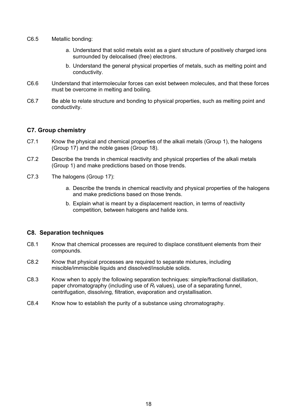- C6.5 Metallic bonding:
	- a. Understand that solid metals exist as a giant structure of positively charged ions surrounded by delocalised (free) electrons.
	- b. Understand the general physical properties of metals, such as melting point and conductivity.
- C6.6 Understand that intermolecular forces can exist between molecules, and that these forces must be overcome in melting and boiling.
- C6.7 Be able to relate structure and bonding to physical properties, such as melting point and conductivity.

#### **C7. Group chemistry**

- C7.1 Know the physical and chemical properties of the alkali metals (Group 1), the halogens (Group 17) and the noble gases (Group 18).
- C7.2 Describe the trends in chemical reactivity and physical properties of the alkali metals (Group 1) and make predictions based on those trends.
- C7.3 The halogens (Group 17):
	- a. Describe the trends in chemical reactivity and physical properties of the halogens and make predictions based on those trends.
	- b. Explain what is meant by a displacement reaction, in terms of reactivity competition, between halogens and halide ions.

#### **C8. Separation techniques**

- C8.1 Know that chemical processes are required to displace constituent elements from their compounds.
- C8.2 Know that physical processes are required to separate mixtures, including miscible/immiscible liquids and dissolved/insoluble solids.
- C8.3 Know when to apply the following separation techniques: simple/fractional distillation, paper chromatography (including use of  $R_f$  values), use of a separating funnel, centrifugation, dissolving, filtration, evaporation and crystallisation.
- C8.4 Know how to establish the purity of a substance using chromatography.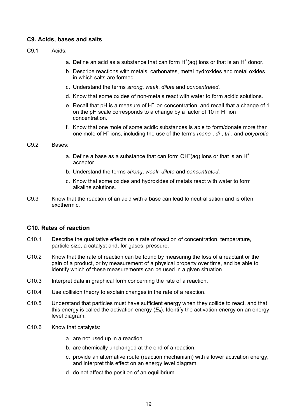#### **C9. Acids, bases and salts**

- C9.1 Acids:
- a. Define an acid as a substance that can form  $H^+(aq)$  ions or that is an  $H^+$  donor.
	- b. Describe reactions with metals, carbonates, metal hydroxides and metal oxides in which salts are formed.
	- c. Understand the terms *strong*, *weak*, *dilute* and *concentrated*.
	- d. Know that some oxides of non-metals react with water to form acidic solutions.
	- e. Recall that pH is a measure of  $H^+$  ion concentration, and recall that a change of 1 on the pH scale corresponds to a change by a factor of 10 in  $H^+$  ion concentration.
	- f. Know that one mole of some acidic substances is able to form/donate more than one mole of H<sup>+</sup> ions, including the use of the terms *mono*-, *di*-, *tri*-, and *polyprotic*.

#### C9.2 Bases:

- a. Define a base as a substance that can form OH $\bar{ }$ (aq) ions or that is an H<sup>+</sup> acceptor.
	- b. Understand the terms *strong*, *weak*, *dilute* and *concentrated*.
	- c. Know that some oxides and hydroxides of metals react with water to form alkaline solutions.
- C9.3 Know that the reaction of an acid with a base can lead to neutralisation and is often exothermic.

#### **C10. Rates of reaction**

- C10.1 Describe the qualitative effects on a rate of reaction of concentration, temperature, particle size, a catalyst and, for gases, pressure.
- C10.2 Know that the rate of reaction can be found by measuring the loss of a reactant or the gain of a product, or by measurement of a physical property over time, and be able to identify which of these measurements can be used in a given situation.
- C10.3 Interpret data in graphical form concerning the rate of a reaction.
- C10.4 Use collision theory to explain changes in the rate of a reaction.
- C10.5 Understand that particles must have sufficient energy when they collide to react, and that this energy is called the activation energy  $(E_a)$ . Identify the activation energy on an energy level diagram.
- C10.6 Know that catalysts:
	- a. are not used up in a reaction.
	- b. are chemically unchanged at the end of a reaction.
	- c. provide an alternative route (reaction mechanism) with a lower activation energy, and interpret this effect on an energy level diagram.
	- d. do not affect the position of an equilibrium.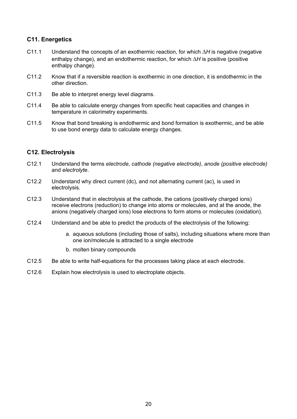# **C11. Energetics**

- C11.1 Understand the concepts of an exothermic reaction, for which ∆*H* is negative (negative enthalpy change), and an endothermic reaction, for which ∆*H* is positive (positive enthalpy change).
- C11.2 Know that if a reversible reaction is exothermic in one direction, it is endothermic in the other direction.
- C11.3 Be able to interpret energy level diagrams.
- C11.4 Be able to calculate energy changes from specific heat capacities and changes in temperature in calorimetry experiments.
- C11.5 Know that bond breaking is endothermic and bond formation is exothermic, and be able to use bond energy data to calculate energy changes.

#### **C12. Electrolysis**

- C12.1 Understand the terms *electrode*, *cathode (negative electrode)*, *anode (positive electrode)*  and *electrolyte*.
- C12.2 Understand why direct current (dc), and not alternating current (ac), is used in electrolysis.
- C12.3 Understand that in electrolysis at the cathode, the cations (positively charged ions) receive electrons (reduction) to change into atoms or molecules, and at the anode, the anions (negatively charged ions) lose electrons to form atoms or molecules (oxidation).
- C12.4 Understand and be able to predict the products of the electrolysis of the following:
	- a. aqueous solutions (including those of salts), including situations where more than one ion/molecule is attracted to a single electrode
	- b. molten binary compounds
- C12.5 Be able to write half-equations for the processes taking place at each electrode.
- C12.6 Explain how electrolysis is used to electroplate objects.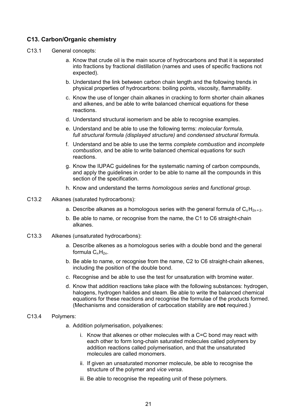## **C13. Carbon/Organic chemistry**

- C13.1 General concepts:
	- a. Know that crude oil is the main source of hydrocarbons and that it is separated into fractions by fractional distillation (names and uses of specific fractions not expected).
	- b. Understand the link between carbon chain length and the following trends in physical properties of hydrocarbons: boiling points, viscosity, flammability.
	- c. Know the use of longer chain alkanes in cracking to form shorter chain alkanes and alkenes, and be able to write balanced chemical equations for these reactions.
	- d. Understand structural isomerism and be able to recognise examples.
	- e. Understand and be able to use the following terms: *molecular formula, full structural formula (displayed structure)* and *condensed structural formula*.
	- f. Understand and be able to use the terms *complete combustion* and *incomplete combustion*, and be able to write balanced chemical equations for such reactions.
	- g. Know the IUPAC guidelines for the systematic naming of carbon compounds, and apply the guidelines in order to be able to name all the compounds in this section of the specification.
	- h. Know and understand the terms *homologous series* and *functional group*.
- C13.2 Alkanes (saturated hydrocarbons):
	- a. Describe alkanes as a homologous series with the general formula of  $C_nH_{2n+2}$ .
	- b. Be able to name, or recognise from the name, the C1 to C6 straight-chain alkanes.
- C13.3 Alkenes (unsaturated hydrocarbons):
	- a. Describe alkenes as a homologous series with a double bond and the general formula  $C_nH_{2n}$ .
	- b. Be able to name, or recognise from the name, C2 to C6 straight-chain alkenes, including the position of the double bond.
	- c. Recognise and be able to use the test for unsaturation with bromine water.
	- d. Know that addition reactions take place with the following substances: hydrogen, halogens, hydrogen halides and steam. Be able to write the balanced chemical equations for these reactions and recognise the formulae of the products formed. (Mechanisms and consideration of carbocation stability are **not** required.)
- C13.4 Polymers:
	- a. Addition polymerisation, polyalkenes:
		- i. Know that alkenes or other molecules with a C=C bond may react with each other to form long-chain saturated molecules called polymers by addition reactions called polymerisation, and that the unsaturated molecules are called monomers.
		- ii. If given an unsaturated monomer molecule, be able to recognise the structure of the polymer and *vice versa*.
		- iii. Be able to recognise the repeating unit of these polymers.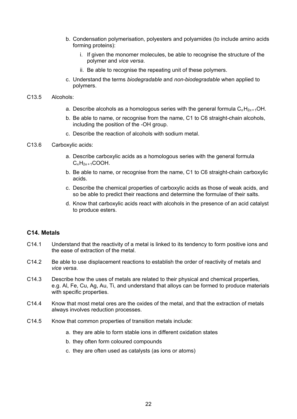- b. Condensation polymerisation, polyesters and polyamides (to include amino acids forming proteins):
	- i. If given the monomer molecules, be able to recognise the structure of the polymer and *vice versa*.
	- ii. Be able to recognise the repeating unit of these polymers.
- c. Understand the terms *biodegradable* and *non-biodegradable* when applied to polymers.

#### C13.5 Alcohols:

- a. Describe alcohols as a homologous series with the general formula  $C_nH_{2n+1}OH$ .
- b. Be able to name, or recognise from the name, C1 to C6 straight-chain alcohols, including the position of the -OH group.
- c. Describe the reaction of alcohols with sodium metal.
- C13.6 Carboxylic acids:
	- a. Describe carboxylic acids as a homologous series with the general formula  $C_nH_{2n+1}$ COOH.
	- b. Be able to name, or recognise from the name, C1 to C6 straight-chain carboxylic acids.
	- c. Describe the chemical properties of carboxylic acids as those of weak acids, and so be able to predict their reactions and determine the formulae of their salts.
	- d. Know that carboxylic acids react with alcohols in the presence of an acid catalyst to produce esters.

#### **C14. Metals**

- C14.1 Understand that the reactivity of a metal is linked to its tendency to form positive ions and the ease of extraction of the metal.
- C14.2 Be able to use displacement reactions to establish the order of reactivity of metals and *vice versa*.
- C14.3 Describe how the uses of metals are related to their physical and chemical properties, e.g. Al, Fe, Cu, Ag, Au, Ti, and understand that alloys can be formed to produce materials with specific properties.
- C14.4 Know that most metal ores are the oxides of the metal, and that the extraction of metals always involves reduction processes.
- C14.5 Know that common properties of transition metals include:
	- a. they are able to form stable ions in different oxidation states
	- b. they often form coloured compounds
	- c. they are often used as catalysts (as ions or atoms)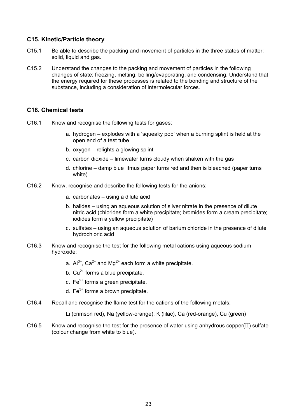#### **C15. Kinetic/Particle theory**

- C15.1 Be able to describe the packing and movement of particles in the three states of matter: solid, liquid and gas.
- C15.2 Understand the changes to the packing and movement of particles in the following changes of state: freezing, melting, boiling/evaporating, and condensing. Understand that the energy required for these processes is related to the bonding and structure of the substance, including a consideration of intermolecular forces.

#### **C16. Chemical tests**

- C16.1 Know and recognise the following tests for gases:
	- a. hydrogen explodes with a 'squeaky pop' when a burning splint is held at the open end of a test tube
	- b. oxygen relights a glowing splint
	- c. carbon dioxide limewater turns cloudy when shaken with the gas
	- d. chlorine damp blue litmus paper turns red and then is bleached (paper turns white)
- C16.2 Know, recognise and describe the following tests for the anions:
	- a. carbonates using a dilute acid
	- b. halides using an aqueous solution of silver nitrate in the presence of dilute nitric acid (chlorides form a white precipitate; bromides form a cream precipitate; iodides form a yellow precipitate)
	- c. sulfates using an aqueous solution of barium chloride in the presence of dilute hydrochloric acid
- C16.3 Know and recognise the test for the following metal cations using aqueous sodium hydroxide:
- a.  $Al^{3+}$ , Ca<sup>2+</sup> and Mg<sup>2+</sup> each form a white precipitate.
	- b.  $Cu^{2+}$  forms a blue precipitate.
	- c.  $Fe<sup>2+</sup>$  forms a green precipitate.
	- d.  $Fe<sup>3+</sup>$  forms a brown precipitate.
- C16.4 Recall and recognise the flame test for the cations of the following metals:
	- Li (crimson red), Na (yellow-orange), K (lilac), Ca (red-orange), Cu (green)
- $C16.5$  Know and recognise the test for the presence of water using anhydrous copper(II) sulfate (colour change from white to blue).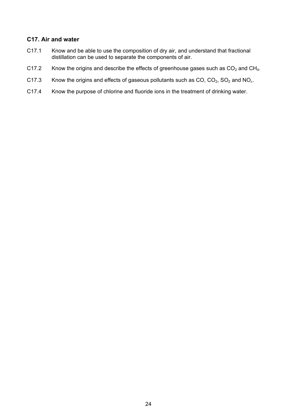## **C17. Air and water**

- C17.1 Know and be able to use the composition of dry air, and understand that fractional distillation can be used to separate the components of air.
- C17.2 Know the origins and describe the effects of greenhouse gases such as  $CO<sub>2</sub>$  and CH<sub>4</sub>.
- C17.3 Know the origins and effects of gaseous pollutants such as  $CO$ ,  $CO<sub>2</sub>$ ,  $SO<sub>2</sub>$  and  $NO<sub>x</sub>$ .
- C17.4 Know the purpose of chlorine and fluoride ions in the treatment of drinking water.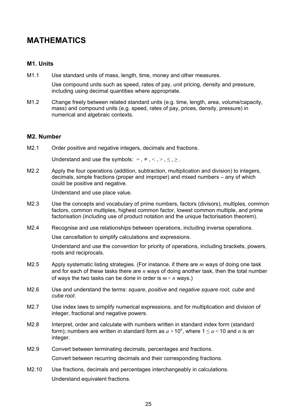# **MATHEMATICS**

#### **M1. Units**

M1.1 Use standard units of mass, length, time, money and other measures.

 Use compound units such as speed, rates of pay, unit pricing, density and pressure, including using decimal quantities where appropriate.

M1.2 Change freely between related standard units (e.g. time, length, area, volume/capacity, mass) and compound units (e.g. speed, rates of pay, prices, density, pressure) in numerical and algebraic contexts.

#### **M2. Number**

M2.1 Order positive and negative integers, decimals and fractions.

Understand and use the symbols: =,  $\neq$ , <, >,  $\leq$ ,  $\geq$ .

M2.2 Apply the four operations (addition, subtraction, multiplication and division) to integers, decimals, simple fractions (proper and improper) and mixed numbers – any of which could be positive and negative.

Understand and use place value.

- M2.3 Use the concepts and vocabulary of prime numbers, factors (divisors), multiples, common factors, common multiples, highest common factor, lowest common multiple, and prime factorisation (including use of product notation and the unique factorisation theorem).
- M2.4 Recognise and use relationships between operations, including inverse operations.

Use cancellation to simplify calculations and expressions.

 Understand and use the convention for priority of operations, including brackets, powers, roots and reciprocals.

- M2.5 Apply systematic listing strategies. (For instance, if there are *m* ways of doing one task and for each of these tasks there are *n* ways of doing another task, then the total number of ways the two tasks can be done in order is  $m \times n$  ways.)
- M2.6 Use and understand the terms: *square*, *positive* and *negative square root*, *cube* and *cube root*.
- M2.7 Use index laws to simplify numerical expressions, and for multiplication and division of integer, fractional and negative powers.
- M2.8 Interpret, order and calculate with numbers written in standard index form (standard form); numbers are written in standard form as  $a \times 10^n$ , where  $1 \le a \le 10$  and  $n$  is an integer.
- M2.9 Convert between terminating decimals, percentages and fractions. Convert between recurring decimals and their corresponding fractions.
- M2.10 Use fractions, decimals and percentages interchangeably in calculations. Understand equivalent fractions.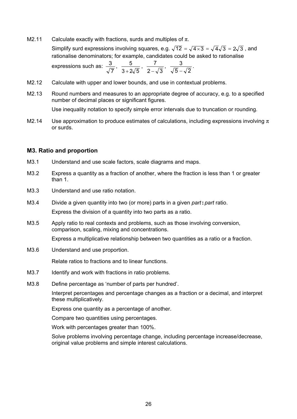- M2.11 Calculate exactly with fractions, surds and multiples of  $\pi$ . Simplify surd expressions involving squares, e.g.  $\sqrt{12} = \sqrt{4 \times 3} = \sqrt{4} \sqrt{3} = 2\sqrt{3}$ , and rationalise denominators; for example, candidates could be asked to rationalise expressions such as:  $\frac{3}{\sqrt{7}}, \frac{5}{3+2\sqrt{5}}, \frac{7}{2-\sqrt{3}}, \frac{3}{\sqrt{5}-\sqrt{2}}.$
- M2.12 Calculate with upper and lower bounds, and use in contextual problems.
- M2.13 Round numbers and measures to an appropriate degree of accuracy, e.g. to a specified number of decimal places or significant figures.

Use inequality notation to specify simple error intervals due to truncation or rounding.

M2.14 Use approximation to produce estimates of calculations, including expressions involving  $\pi$ or surds.

#### **M3. Ratio and proportion**

- M3.1 Understand and use scale factors, scale diagrams and maps.
- M3.2 Express a quantity as a fraction of another, where the fraction is less than 1 or greater than 1.
- M3.3 Understand and use ratio notation.
- M3.4 Divide a given quantity into two (or more) parts in a given *part***:***part* ratio. Express the division of a quantity into two parts as a ratio.
- M3.5 Apply ratio to real contexts and problems, such as those involving conversion, comparison, scaling, mixing and concentrations.

Express a multiplicative relationship between two quantities as a ratio or a fraction.

M3.6 Understand and use proportion.

Relate ratios to fractions and to linear functions.

- M3.7 Identify and work with fractions in ratio problems.
- M3.8 Define percentage as 'number of parts per hundred'.

 Interpret percentages and percentage changes as a fraction or a decimal, and interpret these multiplicatively.

Express one quantity as a percentage of another.

Compare two quantities using percentages.

Work with percentages greater than 100%.

 Solve problems involving percentage change, including percentage increase/decrease, original value problems and simple interest calculations.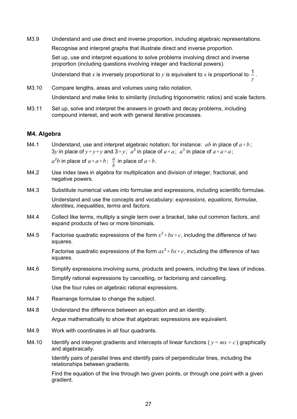M3.9 Understand and use direct and inverse proportion, including algebraic representations. Recognise and interpret graphs that illustrate direct and inverse proportion. Set up, use and interpret equations to solve problems involving direct and inverse proportion (including questions involving integer and fractional powers).

 Understand that *x* is inversely proportional to *y* is equivalent to *x* is proportional to *y*  $\frac{1}{2}$ .

M3.10 Compare lengths, areas and volumes using ratio notation. Understand and make links to similarity (including trigonometric ratios) and scale factors.

M3.11 Set up, solve and interpret the answers in growth and decay problems, including compound interest, and work with general iterative processes.

#### **M4. Algebra**

- M4.1 Understand, use and interpret algebraic notation; for instance: *ab* in place of  $a \times b$ ; 3*y* in place of  $y+y+y$  and  $3\times y$ ;  $a^2$  in place of  $a\times a$ ;  $a^3$  in place of  $a\times a\times a$ ;  $a^2b$  in place of  $a \times a \times b$ ;  $\frac{a}{b}$  in place of  $a \div b$ .
- M4.2 Use index laws in algebra for multiplication and division of integer, fractional, and negative powers.
- M4.3 Substitute numerical values into formulae and expressions, including scientific formulae.

 Understand and use the concepts and vocabulary: *expressions*, *equations*, *formulae*, *identities*, *inequalities*, *terms* and *factors*.

- M4.4 Collect like terms, multiply a single term over a bracket, take out common factors, and expand products of two or more binomials.
- M4.5 Factorise quadratic expressions of the form  $x^2 + bx + c$ , including the difference of two squares.

Factorise quadratic expressions of the form  $ax^2 + bx + c$ , including the difference of two squares.

- M4.6 Simplify expressions involving sums, products and powers, including the laws of indices. Simplify rational expressions by cancelling, or factorising and cancelling. Use the four rules on algebraic rational expressions.
- M4.7 Rearrange formulae to change the subject.
- M4.8 Understand the difference between an equation and an identity.

Argue mathematically to show that algebraic expressions are equivalent.

- M4.9 Work with coordinates in all four quadrants.
- M4.10 Identify and interpret gradients and intercepts of linear functions ( $y = mx + c$ ) graphically and algebraically.

 Identify pairs of parallel lines and identify pairs of perpendicular lines, including the relationships between gradients.

 Find the equation of the line through two given points, or through one point with a given gradient.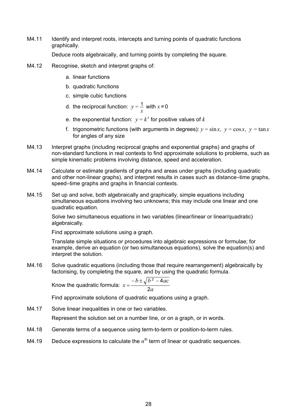M4.11 Identify and interpret roots, intercepts and turning points of quadratic functions graphically.

Deduce roots algebraically, and turning points by completing the square.

- M4.12 Recognise, sketch and interpret graphs of:
	- a. linear functions
	- b. quadratic functions
	- c. simple cubic functions
- d. the reciprocal function:  $y = \frac{1}{x}$  with  $x \ne 0$ 
	- e. the exponential function:  $y = k^x$  for positive values of k
	- f. trigonometric functions (with arguments in degrees):  $v = \sin x$ ,  $v = \cos x$ ,  $v = \tan x$ for angles of any size
- M4.13 Interpret graphs (including reciprocal graphs and exponential graphs) and graphs of non-standard functions in real contexts to find approximate solutions to problems, such as simple kinematic problems involving distance, speed and acceleration.
- M4.14 Calculate or estimate gradients of graphs and areas under graphs (including quadratic and other non-linear graphs), and interpret results in cases such as distance–time graphs, speed–time graphs and graphs in financial contexts.
- M4.15 Set up and solve, both algebraically and graphically, simple equations including simultaneous equations involving two unknowns; this may include one linear and one quadratic equation.

 Solve two simultaneous equations in two variables (linear/linear or linear/quadratic) algebraically.

Find approximate solutions using a graph.

 Translate simple situations or procedures into algebraic expressions or formulae; for example, derive an equation (or two simultaneous equations), solve the equation(s) and interpret the solution.

M4.16 Solve quadratic equations (including those that require rearrangement) algebraically by factorising, by completing the square, and by using the quadratic formula.

$$
\text{Know the quadratic formula: } x = \frac{-b \pm \sqrt{b^2 - 4ac}}{2a}
$$

Find approximate solutions of quadratic equations using a graph.

M4.17 Solve linear inequalities in one or two variables.

Represent the solution set on a number line, or on a graph, or in words.

- M4.18 Generate terms of a sequence using term-to-term or position-to-term rules.
- M4.19 Deduce expressions to calculate the  $n<sup>th</sup>$  term of linear or quadratic sequences.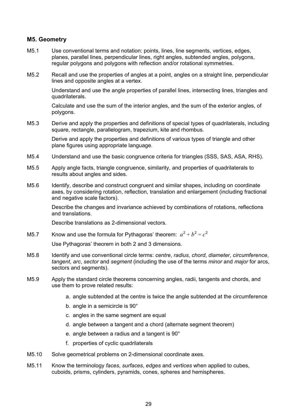## **M5. Geometry**

- M5.1 Use conventional terms and notation: points, lines, line segments, vertices, edges, planes, parallel lines, perpendicular lines, right angles, subtended angles, polygons, regular polygons and polygons with reflection and/or rotational symmetries.
- M5.2 Recall and use the properties of angles at a point, angles on a straight line, perpendicular lines and opposite angles at a vertex.

 Understand and use the angle properties of parallel lines, intersecting lines, triangles and quadrilaterals.

 Calculate and use the sum of the interior angles, and the sum of the exterior angles, of polygons.

M5.3 Derive and apply the properties and definitions of special types of quadrilaterals, including square, rectangle, parallelogram, trapezium, kite and rhombus.

> Derive and apply the properties and definitions of various types of triangle and other plane figures using appropriate language.

- M5.4 Understand and use the basic congruence criteria for triangles (SSS, SAS, ASA, RHS).
- M5.5 Apply angle facts, triangle congruence, similarity, and properties of quadrilaterals to results about angles and sides.
- M5.6 Identify, describe and construct congruent and similar shapes, including on coordinate axes, by considering rotation, reflection, translation and enlargement (including fractional and negative scale factors).

 Describe the changes and invariance achieved by combinations of rotations, reflections and translations.

Describe translations as 2-dimensional vectors.

M5.7 Know and use the formula for Pythagoras' theorem:  $a^2 + b^2 = c^2$ 

Use Pythagoras' theorem in both 2 and 3 dimensions.

- M5.8 Identify and use conventional circle terms: *centre*, *radius*, *chord*, *diameter*, *circumference*, *tangent*, *arc*, *sector* and *segment* (including the use of the terms *minor* and *major* for arcs, sectors and segments).
- M5.9 Apply the standard circle theorems concerning angles, radii, tangents and chords, and use them to prove related results:
	- a. angle subtended at the centre is twice the angle subtended at the circumference
	- b. angle in a semicircle is 90°
	- c. angles in the same segment are equal
	- d. angle between a tangent and a chord (alternate segment theorem)
	- e. angle between a radius and a tangent is 90°
	- f. properties of cyclic quadrilaterals
- M5.10 Solve geometrical problems on 2-dimensional coordinate axes.
- M5.11 Know the terminology *faces*, *surfaces*, *edges* and *vertices* when applied to cubes, cuboids, prisms, cylinders, pyramids, cones, spheres and hemispheres.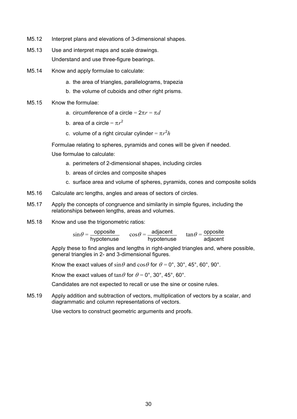- M5.12 Interpret plans and elevations of 3-dimensional shapes.
- M5.13 Use and interpret maps and scale drawings. Understand and use three-figure bearings.
- M5.14 Know and apply formulae to calculate:
	- a. the area of triangles, parallelograms, trapezia
	- b. the volume of cuboids and other right prisms.
- M5.15 Know the formulae:
	- a. circumference of a circle = 2π*r* = π*d*
- b. area of a circle =  $\pi r^2$
- c. volume of a right circular cylinder =  $\pi r^2 h$

Formulae relating to spheres, pyramids and cones will be given if needed.

Use formulae to calculate:

- a. perimeters of 2-dimensional shapes, including circles
- b. areas of circles and composite shapes
- c. surface area and volume of spheres, pyramids, cones and composite solids
- M5.16 Calculate arc lengths, angles and areas of sectors of circles.
- M5.17 Apply the concepts of congruence and similarity in simple figures, including the relationships between lengths, areas and volumes.
- M5.18 Know and use the trigonometric ratios:

 $\sin\theta = \frac{\text{opposite}}{\text{hypotenuse}}$   $\cos\theta = \frac{\text{adjacent}}{\text{hypotenuse}}$   $\tan\theta = \frac{\text{opposite}}{\text{adjacent}}$ 

 Apply these to find angles and lengths in right-angled triangles and, where possible, general triangles in 2- and 3-dimensional figures.

Know the exact values of  $\sin\theta$  and  $\cos\theta$  for  $\theta = 0^{\circ}$ , 30°, 45°, 60°, 90°.

Know the exact values of  $\tan\theta$  for  $\theta = 0^\circ$ , 30°, 45°, 60°.

Candidates are not expected to recall or use the sine or cosine rules.

M5.19 Apply addition and subtraction of vectors, multiplication of vectors by a scalar, and diagrammatic and column representations of vectors.

Use vectors to construct geometric arguments and proofs.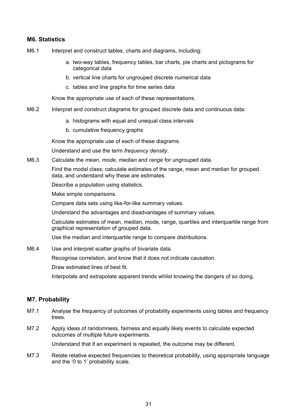# **M6. Statistics**

- M6.1 Interpret and construct tables, charts and diagrams, including:
	- a. two-way tables, frequency tables, bar charts, pie charts and pictograms for categorical data
	- b. vertical line charts for ungrouped discrete numerical data
	- c. tables and line graphs for time series data

Know the appropriate use of each of these representations.

- M6.2 Interpret and construct diagrams for grouped discrete data and continuous data:
	- a. histograms with equal and unequal class intervals
	- b. cumulative frequency graphs

Know the appropriate use of each of these diagrams.

Understand and use the term *frequency density*.

M6.3 Calculate the *mean*, *mode*, *median* and *range* for ungrouped data.

 Find the modal class; calculate estimates of the range, mean and median for grouped data, and understand why these are estimates.

Describe a population using statistics.

Make simple comparisons.

Compare data sets using like-for-like summary values.

Understand the advantages and disadvantages of summary values.

 Calculate estimates of mean, median, mode, range, quartiles and interquartile range from graphical representation of grouped data.

Use the median and interquartile range to compare distributions.

M6.4 Use and interpret scatter graphs of bivariate data.

Recognise correlation, and know that it does not indicate causation.

Draw estimated lines of best fit.

Interpolate and extrapolate apparent trends whilst knowing the dangers of so doing.

## **M7. Probability**

- M7.1 Analyse the frequency of outcomes of probability experiments using tables and frequency trees.
- M7.2 Apply ideas of randomness, fairness and equally likely events to calculate expected outcomes of multiple future experiments.

Understand that if an experiment is repeated, the outcome may be different.

M7.3 Relate relative expected frequencies to theoretical probability, using appropriate language and the '0 to 1' probability scale.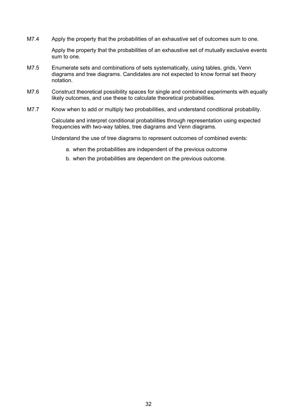M7.4 Apply the property that the probabilities of an exhaustive set of outcomes sum to one.

Apply the property that the probabilities of an exhaustive set of mutually exclusive events sum to one.

- M7.5 Enumerate sets and combinations of sets systematically, using tables, grids, Venn diagrams and tree diagrams. Candidates are not expected to know formal set theory notation.
- M7.6 Construct theoretical possibility spaces for single and combined experiments with equally likely outcomes, and use these to calculate theoretical probabilities.
- M7.7 Know when to add or multiply two probabilities, and understand conditional probability.

Calculate and interpret conditional probabilities through representation using expected frequencies with two-way tables, tree diagrams and Venn diagrams.

Understand the use of tree diagrams to represent outcomes of combined events:

- a. when the probabilities are independent of the previous outcome
- b. when the probabilities are dependent on the previous outcome.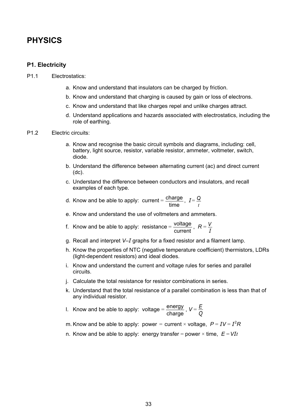# **PHYSICS**

#### **P1. Electricity**

- P1.1 Electrostatics:
	- a. Know and understand that insulators can be charged by friction.
	- b. Know and understand that charging is caused by gain or loss of electrons.
	- c. Know and understand that like charges repel and unlike charges attract.
	- d. Understand applications and hazards associated with electrostatics, including the role of earthing.
- P1.2 Electric circuits:
	- a. Know and recognise the basic circuit symbols and diagrams, including: cell, battery, light source, resistor, variable resistor, ammeter, voltmeter, switch, diode.
	- b. Understand the difference between alternating current (ac) and direct current (dc).
	- c. Understand the difference between conductors and insulators, and recall examples of each type.

 d. Know and be able to apply: current =  $\frac{\text{charge}}{\text{time}}$ ,  $I = \frac{Q}{t}$ 

- e. Know and understand the use of voltmeters and ammeters.
- f. Know and be able to apply: resistance =  $\frac{\text{voltage}}{\text{current}}$ ,  $R = \frac{V}{I}$ 
	- g. Recall and interpret *V*–*I* graphs for a fixed resistor and a filament lamp.
	- h. Know the properties of NTC (negative temperature coefficient) thermistors, LDRs (light-dependent resistors) and ideal diodes.
	- i. Know and understand the current and voltage rules for series and parallel circuits.
	- j. Calculate the total resistance for resistor combinations in series.
	- k. Understand that the total resistance of a parallel combination is less than that of any individual resistor.

I. Know and be able to apply: voltage =  $\frac{\text{energy}}{\text{charge}}$ ,  $V = \frac{E}{Q}$ 

m. Know and be able to apply: power = current × voltage,  $P = IV = I^2R$ 

n. Know and be able to apply: energy transfer = power  $\times$  time,  $E = VIt$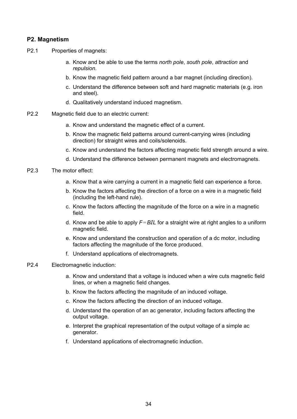#### **P2. Magnetism**

- P2.1 Properties of magnets:
	- a. Know and be able to use the terms *north pole*, *south pole*, *attraction* and *repulsion*.
	- b. Know the magnetic field pattern around a bar magnet (including direction).
	- c. Understand the difference between soft and hard magnetic materials (e.g. iron and steel).
	- d. Qualitatively understand induced magnetism.
- P2.2 Magnetic field due to an electric current:
	- a. Know and understand the magnetic effect of a current.
	- b. Know the magnetic field patterns around current-carrying wires (including direction) for straight wires and coils/solenoids.
	- c. Know and understand the factors affecting magnetic field strength around a wire.
	- d. Understand the difference between permanent magnets and electromagnets.
- P2.3 The motor effect:
	- a. Know that a wire carrying a current in a magnetic field can experience a force.
	- b. Know the factors affecting the direction of a force on a wire in a magnetic field (including the left-hand rule).
	- c. Know the factors affecting the magnitude of the force on a wire in a magnetic field.
	- d. Know and be able to apply *F*=*BIL* for a straight wire at right angles to a uniform magnetic field.
	- e. Know and understand the construction and operation of a dc motor, including factors affecting the magnitude of the force produced.
	- f. Understand applications of electromagnets.
- P2.4 Electromagnetic induction:
	- a. Know and understand that a voltage is induced when a wire cuts magnetic field lines, or when a magnetic field changes.
	- b. Know the factors affecting the magnitude of an induced voltage.
	- c. Know the factors affecting the direction of an induced voltage.
	- d. Understand the operation of an ac generator, including factors affecting the output voltage.
	- e. Interpret the graphical representation of the output voltage of a simple ac generator.
	- f. Understand applications of electromagnetic induction.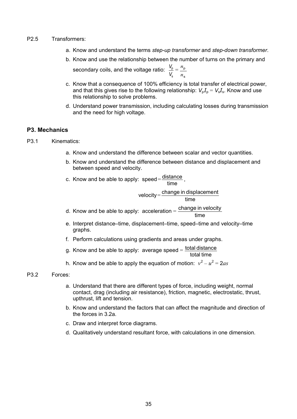#### P2.5 Transformers:

- a. Know and understand the terms *step-up transformer* and *step-down transformer*.
- b. Know and use the relationship between the number of turns on the primary and secondary coils, and the voltage ratio: s p *V*  $\frac{V_{\rm p}}{V}$  = s p *n n*
- c. Know that a consequence of 100% efficiency is total transfer of electrical power, and that this gives rise to the following relationship:  $V_pI_p = V_sI_s$ . Know and use this relationship to solve problems.
- d. Understand power transmission, including calculating losses during transmission and the need for high voltage.

## **P3. Mechanics**

- P3.1 Kinematics:
	- a. Know and understand the difference between scalar and vector quantities.
	- b. Know and understand the difference between distance and displacement and between speed and velocity.

c. Know and be able to apply:  $speed = \frac{distance}{time}$ ,

$$
velocity = \frac{change\ in\ displacement}{time}
$$

- d. Know and be able to apply:  $\text{acceleration} = \frac{\text{change in velocity}}{\text{time}}$ 
	- e. Interpret distance–time, displacement–time, speed–time and velocity–time graphs.
	- f. Perform calculations using gradients and areas under graphs.
- g. Know and be able to apply: average speed =  $\frac{\text{total distance}}{\text{total time}}$ 
	- h. Know and be able to apply the equation of motion:  $v^2 u^2 = 2as$

#### P3.2 Forces:

- a. Understand that there are different types of force, including weight, normal contact, drag (including air resistance), friction, magnetic, electrostatic, thrust, upthrust, lift and tension.
- b. Know and understand the factors that can affect the magnitude and direction of the forces in 3.2a.
- c. Draw and interpret force diagrams.
- d. Qualitatively understand resultant force, with calculations in one dimension.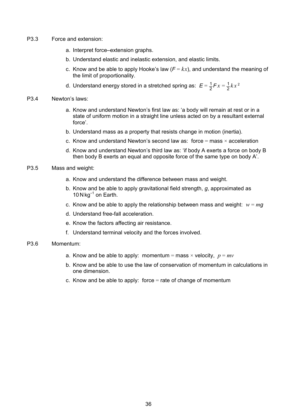- P3.3 Force and extension:
	- a. Interpret force–extension graphs.
	- b. Understand elastic and inelastic extension, and elastic limits.
	- c. Know and be able to apply Hooke's law  $(F = kx)$ , and understand the meaning of the limit of proportionality.
	- d. Understand energy stored in a stretched spring as:  $E = \frac{1}{2}Fx = \frac{1}{2}kx^2$
- P3.4 Newton's laws:
	- a. Know and understand Newton's first law as: 'a body will remain at rest or in a state of uniform motion in a straight line unless acted on by a resultant external force'.
	- b. Understand mass as a property that resists change in motion (inertia).
	- c. Know and understand Newton's second law as: force  $=$  mass  $\times$  acceleration
	- d. Know and understand Newton's third law as: 'if body A exerts a force on body B then body B exerts an equal and opposite force of the same type on body A'.
- P3.5 Mass and weight:
	- a. Know and understand the difference between mass and weight.
	- b. Know and be able to apply gravitational field strength, *g*, approximated as 10 N  $kg^{-1}$  on Earth.
	- c. Know and be able to apply the relationship between mass and weight:  $w = ma$
	- d. Understand free-fall acceleration.
	- e. Know the factors affecting air resistance.
	- f. Understand terminal velocity and the forces involved.

#### P3.6 Momentum:

- a. Know and be able to apply: momentum = mass  $\times$  velocity,  $p = mv$
- b. Know and be able to use the law of conservation of momentum in calculations in one dimension.
- c. Know and be able to apply: force  $=$  rate of change of momentum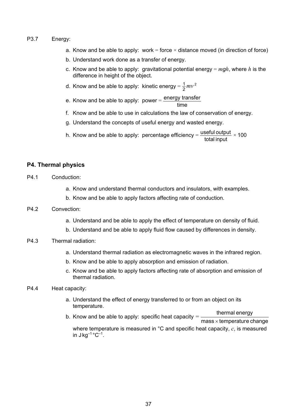#### P3.7 Energy:

- a. Know and be able to apply: work = force  $\times$  distance moved (in direction of force)
- b. Understand work done as a transfer of energy.
- c. Know and be able to apply: gravitational potential energy = *mgh*, where *h* is the difference in height of the object.
- d. Know and be able to apply: kinetic energy =  $\frac{1}{2}mv^2$
- e. Know and be able to apply: power =  $\frac{\text{energy transfer}}{\text{time}}$ 
	- f. Know and be able to use in calculations the law of conservation of energy.
	- g. Understand the concepts of useful energy and wasted energy.
- h. Know and be able to apply: percentage efficiency =  $\frac{\text{useful output}}{\text{total input}} \times 100$

#### **P4. Thermal physics**

- P4.1 Conduction:
	- a. Know and understand thermal conductors and insulators, with examples.
	- b. Know and be able to apply factors affecting rate of conduction.

#### P4.2 Convection:

- a. Understand and be able to apply the effect of temperature on density of fluid.
- b. Understand and be able to apply fluid flow caused by differences in density.

#### P4.3 Thermal radiation:

- a. Understand thermal radiation as electromagnetic waves in the infrared region.
- b. Know and be able to apply absorption and emission of radiation.
- c. Know and be able to apply factors affecting rate of absorption and emission of thermal radiation.
- P4.4 Heat capacity:
	- a. Understand the effect of energy transferred to or from an object on its temperature.
	- b. Know and be able to apply: specific heat capacity = thermal energy  $mass \times temperature$ change where temperature is measured in °C and specific heat capacity, *c*, is measured in  $J kg^{-1} °C^{-1}$ .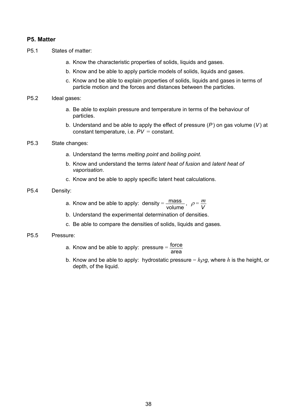#### **P5. Matter**

- P5.1 States of matter:
	- a. Know the characteristic properties of solids, liquids and gases.
	- b. Know and be able to apply particle models of solids, liquids and gases.
	- c. Know and be able to explain properties of solids, liquids and gases in terms of particle motion and the forces and distances between the particles.
- P5.2 Ideal gases:
	- a. Be able to explain pressure and temperature in terms of the behaviour of particles.
	- b. Understand and be able to apply the effect of pressure (*P*) on gas volume (*V*) at constant temperature, i.e. *PV =* constant.
- P5.3 State changes:
	- a. Understand the terms *melting point* and *boiling point*.
	- b. Know and understand the terms *latent heat of fusion* and *latent heat of vaporisation*.
	- c. Know and be able to apply specific latent heat calculations.
- P5.4 Density:
- a. Know and be able to apply: density =  $\frac{mass}{volume}$ ,  $\rho = \frac{m}{V}$ 
	- b. Understand the experimental determination of densities.
	- c. Be able to compare the densities of solids, liquids and gases.
- P5.5 Pressure:
	- a. Know and be able to apply: pressure  $=$   $\frac{\text{force}}{\text{area}}$ 
		- b. Know and be able to apply: hydrostatic pressure  $= h \rho g$ , where *h* is the height, or depth, of the liquid.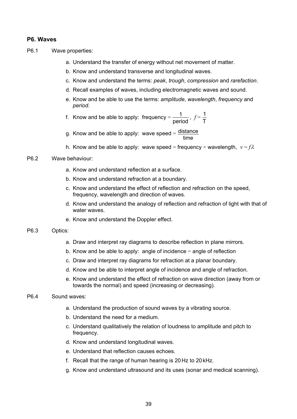#### **P6. Waves**

- P6.1 Wave properties:
	- a. Understand the transfer of energy without net movement of matter.
	- b. Know and understand transverse and longitudinal waves.
	- c. Know and understand the terms: *peak*, *trough*, *compression* and *rarefaction*.
	- d. Recall examples of waves, including electromagnetic waves and sound.
	- e. Know and be able to use the terms: *amplitude*, *wavelength*, *frequency* and *period*.

f. Know and be able to apply: frequency = 
$$
\frac{1}{\text{period}}
$$
,  $f = \frac{1}{T}$ 

- g. Know and be able to apply: wave speed =  $\frac{\text{distance}}{\text{time}}$ 
	- h. Know and be able to apply: wave speed = frequency  $\times$  wavelength,  $v = f\lambda$

#### P6.2 Wave behaviour:

- a. Know and understand reflection at a surface.
- b. Know and understand refraction at a boundary.
- c. Know and understand the effect of reflection and refraction on the speed, frequency, wavelength and direction of waves.
- d. Know and understand the analogy of reflection and refraction of light with that of water waves.
- e. Know and understand the Doppler effect.

#### P6.3 Optics:

- a. Draw and interpret ray diagrams to describe reflection in plane mirrors.
- b. Know and be able to apply: angle of incidence  $=$  angle of reflection
- c. Draw and interpret ray diagrams for refraction at a planar boundary.
- d. Know and be able to interpret angle of incidence and angle of refraction.
- e. Know and understand the effect of refraction on wave direction (away from or towards the normal) and speed (increasing or decreasing).

#### P6.4 Sound waves:

- a. Understand the production of sound waves by a vibrating source.
- b. Understand the need for a medium.
- c. Understand qualitatively the relation of loudness to amplitude and pitch to frequency.
- d. Know and understand longitudinal waves.
- e. Understand that reflection causes echoes.
- f. Recall that the range of human hearing is 20Hz to 20 kHz.
- g. Know and understand ultrasound and its uses (sonar and medical scanning).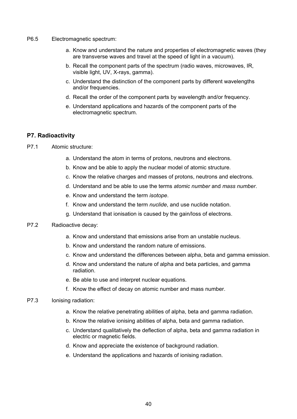- P6.5 Electromagnetic spectrum:
	- a. Know and understand the nature and properties of electromagnetic waves (they are transverse waves and travel at the speed of light in a vacuum).
	- b. Recall the component parts of the spectrum (radio waves, microwaves, IR, visible light, UV, X-rays, gamma).
	- c. Understand the distinction of the component parts by different wavelengths and/or frequencies.
	- d. Recall the order of the component parts by wavelength and/or frequency.
	- e. Understand applications and hazards of the component parts of the electromagnetic spectrum.

#### **P7. Radioactivity**

- P7.1 Atomic structure:
	- a. Understand the atom in terms of protons, neutrons and electrons.
	- b. Know and be able to apply the nuclear model of atomic structure.
	- c. Know the relative charges and masses of protons, neutrons and electrons.
	- d. Understand and be able to use the terms *atomic number* and *mass number*.
	- e. Know and understand the term *isotope*.
	- f. Know and understand the term *nuclide*, and use nuclide notation.
	- g. Understand that ionisation is caused by the gain/loss of electrons.

#### P7.2 Radioactive decay:

- a. Know and understand that emissions arise from an unstable nucleus.
- b. Know and understand the random nature of emissions.
- c. Know and understand the differences between alpha, beta and gamma emission.
- d. Know and understand the nature of alpha and beta particles, and gamma radiation.
- e. Be able to use and interpret nuclear equations.
- f. Know the effect of decay on atomic number and mass number.

#### P7.3 Ionising radiation:

- a. Know the relative penetrating abilities of alpha, beta and gamma radiation.
- b. Know the relative ionising abilities of alpha, beta and gamma radiation.
- c. Understand qualitatively the deflection of alpha, beta and gamma radiation in electric or magnetic fields.
- d. Know and appreciate the existence of background radiation.
- e. Understand the applications and hazards of ionising radiation.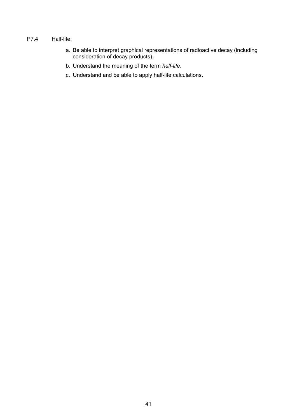#### P7.4 Half-life:

- a. Be able to interpret graphical representations of radioactive decay (including consideration of decay products).
	- b. Understand the meaning of the term *half-life*.
	- c. Understand and be able to apply half-life calculations.